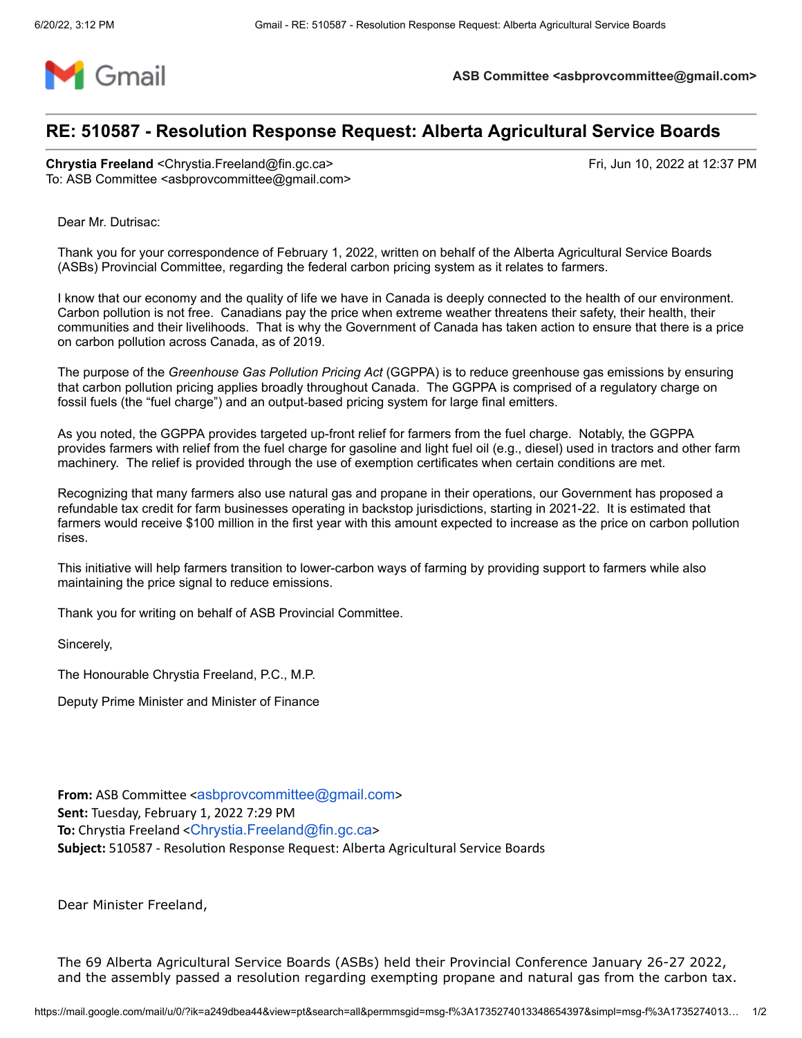

**ASB Committee <asbprovcommittee@gmail.com>**

## **RE: 510587 - Resolution Response Request: Alberta Agricultural Service Boards**

**Chrystia Freeland** <Chrystia.Freeland@fin.gc.ca> Fri, Jun 10, 2022 at 12:37 PM To: ASB Committee <asbprovcommittee@gmail.com>

Dear Mr. Dutrisac:

Thank you for your correspondence of February 1, 2022, written on behalf of the Alberta Agricultural Service Boards (ASBs) Provincial Committee, regarding the federal carbon pricing system as it relates to farmers.

I know that our economy and the quality of life we have in Canada is deeply connected to the health of our environment. Carbon pollution is not free. Canadians pay the price when extreme weather threatens their safety, their health, their communities and their livelihoods. That is why the Government of Canada has taken action to ensure that there is a price on carbon pollution across Canada, as of 2019.

The purpose of the *Greenhouse Gas Pollution Pricing Act* (GGPPA) is to reduce greenhouse gas emissions by ensuring that carbon pollution pricing applies broadly throughout Canada. The GGPPA is comprised of a regulatory charge on fossil fuels (the "fuel charge") and an output-based pricing system for large final emitters.

As you noted, the GGPPA provides targeted up-front relief for farmers from the fuel charge. Notably, the GGPPA provides farmers with relief from the fuel charge for gasoline and light fuel oil (e.g., diesel) used in tractors and other farm machinery. The relief is provided through the use of exemption certificates when certain conditions are met.

Recognizing that many farmers also use natural gas and propane in their operations, our Government has proposed a refundable tax credit for farm businesses operating in backstop jurisdictions, starting in 2021-22. It is estimated that farmers would receive \$100 million in the first year with this amount expected to increase as the price on carbon pollution rises.

This initiative will help farmers transition to lower-carbon ways of farming by providing support to farmers while also maintaining the price signal to reduce emissions.

Thank you for writing on behalf of ASB Provincial Committee.

Sincerely,

The Honourable Chrystia Freeland, P.C., M.P.

Deputy Prime Minister and Minister of Finance

**From:** ASB Committee <[asbprovcommittee@gmail.com](mailto:asbprovcommittee@gmail.com)> **Sent:** Tuesday, February 1, 2022 7:29 PM **To:** Chrystia Freeland <[Chrystia.Freeland@fin.gc.ca](mailto:Chrystia.Freeland@fin.gc.ca)> **Subject:** 510587 - Resolution Response Request: Alberta Agricultural Service Boards

Dear Minister Freeland,

The 69 Alberta Agricultural Service Boards (ASBs) held their Provincial Conference January 26-27 2022, and the assembly passed a resolution regarding exempting propane and natural gas from the carbon tax.